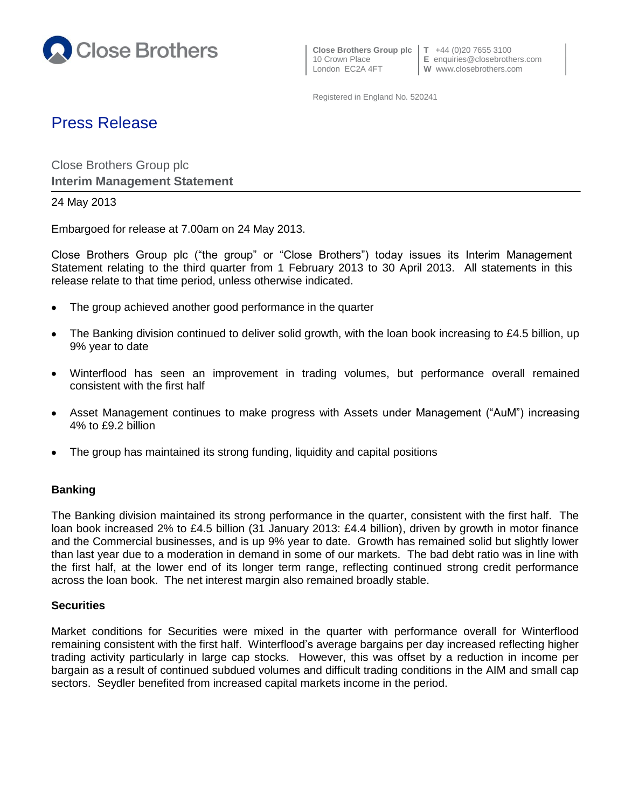

10 Crown Place **E** enquiries@closebrothers.com

Registered in England No. 520241

# Press Release

Close Brothers Group plc **Interim Management Statement**

## 24 May 2013

Embargoed for release at 7.00am on 24 May 2013.

Close Brothers Group plc ("the group" or "Close Brothers") today issues its Interim Management Statement relating to the third quarter from 1 February 2013 to 30 April 2013. All statements in this release relate to that time period, unless otherwise indicated.

- The group achieved another good performance in the quarter  $\bullet$
- The Banking division continued to deliver solid growth, with the loan book increasing to £4.5 billion, up 9% year to date
- Winterflood has seen an improvement in trading volumes, but performance overall remained  $\bullet$ consistent with the first half
- Asset Management continues to make progress with Assets under Management ("AuM") increasing  $\bullet$ 4% to £9.2 billion
- The group has maintained its strong funding, liquidity and capital positions

## **Banking**

The Banking division maintained its strong performance in the quarter, consistent with the first half. The loan book increased 2% to £4.5 billion (31 January 2013: £4.4 billion), driven by growth in motor finance and the Commercial businesses, and is up 9% year to date. Growth has remained solid but slightly lower than last year due to a moderation in demand in some of our markets. The bad debt ratio was in line with the first half, at the lower end of its longer term range, reflecting continued strong credit performance across the loan book. The net interest margin also remained broadly stable.

#### **Securities**

Market conditions for Securities were mixed in the quarter with performance overall for Winterflood remaining consistent with the first half. Winterflood's average bargains per day increased reflecting higher trading activity particularly in large cap stocks. However, this was offset by a reduction in income per bargain as a result of continued subdued volumes and difficult trading conditions in the AIM and small cap sectors. Seydler benefited from increased capital markets income in the period.